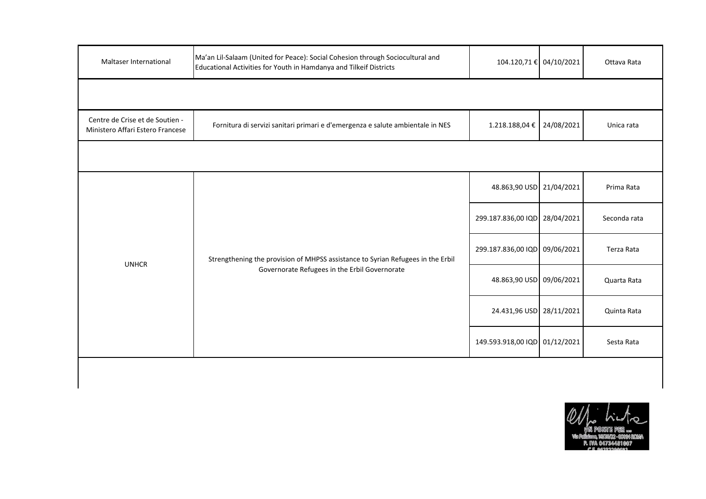| Maltaser International                                              | Ma'an Lil-Salaam (United for Peace): Social Cohesion through Sociocultural and<br>Educational Activities for Youth in Hamdanya and Tilkeif Districts | 104.120,71 € 04/10/2021       |            | Ottava Rata  |
|---------------------------------------------------------------------|------------------------------------------------------------------------------------------------------------------------------------------------------|-------------------------------|------------|--------------|
|                                                                     |                                                                                                                                                      |                               |            |              |
| Centre de Crise et de Soutien -<br>Ministero Affari Estero Francese | Fornitura di servizi sanitari primari e d'emergenza e salute ambientale in NES                                                                       | 1.218.188,04 €                | 24/08/2021 | Unica rata   |
|                                                                     |                                                                                                                                                      |                               |            |              |
| <b>UNHCR</b>                                                        | Strengthening the provision of MHPSS assistance to Syrian Refugees in the Erbil<br>Governorate Refugees in the Erbil Governorate                     | 48.863,90 USD 21/04/2021      |            | Prima Rata   |
|                                                                     |                                                                                                                                                      | 299.187.836,00 IQD            | 28/04/2021 | Seconda rata |
|                                                                     |                                                                                                                                                      | 299.187.836,00 IQD 09/06/2021 |            | Terza Rata   |
|                                                                     |                                                                                                                                                      | 48.863,90 USD 09/06/2021      |            | Quarta Rata  |
|                                                                     |                                                                                                                                                      | 24.431,96 USD                 | 28/11/2021 | Quinta Rata  |
|                                                                     |                                                                                                                                                      | 149.593.918,00 IQD 01/12/2021 |            | Sesta Rata   |
|                                                                     |                                                                                                                                                      |                               |            |              |

 $\mathbf l$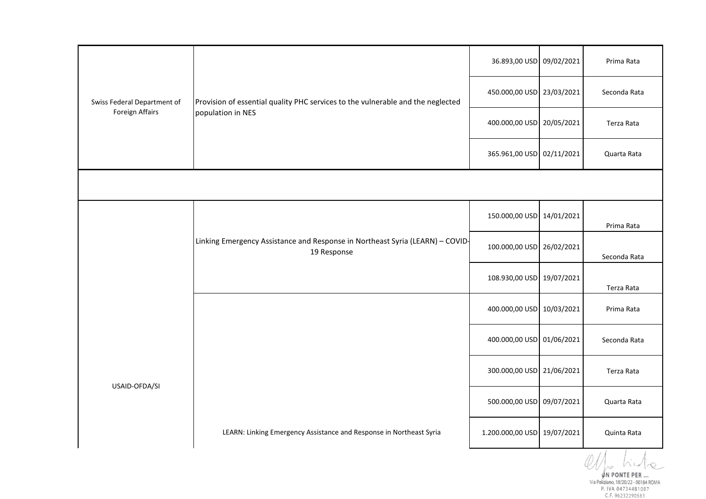| Swiss Federal Department of<br>Foreign Affairs | Provision of essential quality PHC services to the vulnerable and the neglected<br>population in NES | 36.893,00 USD 09/02/2021    | Prima Rata                       |
|------------------------------------------------|------------------------------------------------------------------------------------------------------|-----------------------------|----------------------------------|
|                                                |                                                                                                      | 450.000,00 USD 23/03/2021   | Seconda Rata                     |
|                                                |                                                                                                      | 400.000,00 USD 20/05/2021   | Terza Rata                       |
|                                                |                                                                                                      | 365.961,00 USD 02/11/2021   | Quarta Rata                      |
|                                                |                                                                                                      |                             |                                  |
|                                                |                                                                                                      | 150.000,00 USD 14/01/2021   | Prima Rata                       |
|                                                | Linking Emergency Assistance and Response in Northeast Syria (LEARN) - COVID-<br>19 Response         | 100.000,00 USD 26/02/2021   | Seconda Rata                     |
|                                                |                                                                                                      | 108.930,00 USD 19/07/2021   | Terza Rata                       |
|                                                |                                                                                                      | 400.000,00 USD 10/03/2021   | Prima Rata                       |
| USAID-OFDA/SI                                  |                                                                                                      | 400.000,00 USD 01/06/2021   | Seconda Rata                     |
|                                                |                                                                                                      | 300.000,00 USD 21/06/2021   | Terza Rata                       |
|                                                |                                                                                                      | 500.000,00 USD 09/07/2021   | Quarta Rata                      |
|                                                | LEARN: Linking Emergency Assistance and Response in Northeast Syria                                  | 1.200.000,00 USD 19/07/2021 | Quinta Rata<br>$\prime$ $\prime$ |

C.F. 96232290583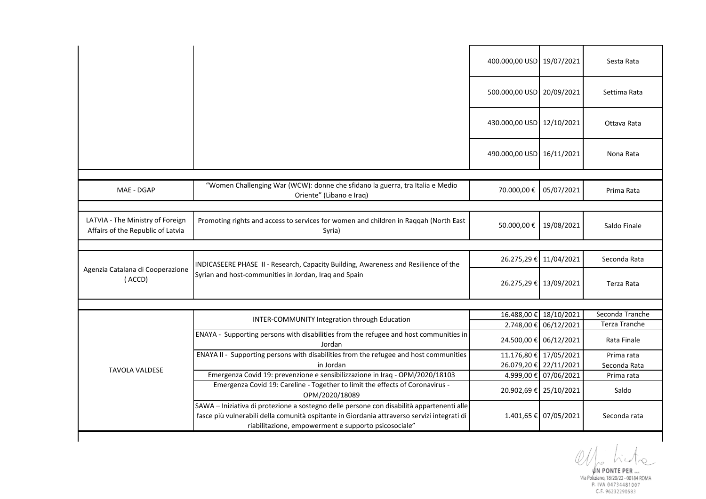|                                                                       |                                                                                                                                              | 400.000,00 USD 19/07/2021 |                        | Sesta Rata           |
|-----------------------------------------------------------------------|----------------------------------------------------------------------------------------------------------------------------------------------|---------------------------|------------------------|----------------------|
|                                                                       |                                                                                                                                              | 500.000,00 USD 20/09/2021 |                        | Settima Rata         |
|                                                                       |                                                                                                                                              | 430.000,00 USD 12/10/2021 |                        | Ottava Rata          |
|                                                                       |                                                                                                                                              | 490.000,00 USD 16/11/2021 |                        | Nona Rata            |
|                                                                       |                                                                                                                                              |                           |                        |                      |
| MAE - DGAP                                                            | "Women Challenging War (WCW): donne che sfidano la guerra, tra Italia e Medio<br>Oriente" (Libano e Iraq)                                    | 70.000,00€                | 05/07/2021             | Prima Rata           |
|                                                                       |                                                                                                                                              |                           |                        |                      |
| LATVIA - The Ministry of Foreign<br>Affairs of the Republic of Latvia | Promoting rights and access to services for women and children in Raqqah (North East<br>Syria)                                               | 50.000,00€                | 19/08/2021             | Saldo Finale         |
|                                                                       |                                                                                                                                              |                           |                        |                      |
|                                                                       |                                                                                                                                              |                           |                        |                      |
|                                                                       |                                                                                                                                              | 26.275,29€                | 11/04/2021             | Seconda Rata         |
| Agenzia Catalana di Cooperazione<br>(ACCD)                            | INDICASEERE PHASE II - Research, Capacity Building, Awareness and Resilience of the<br>Syrian and host-communities in Jordan, Iraq and Spain |                           | 26.275,29 € 13/09/2021 | Terza Rata           |
|                                                                       |                                                                                                                                              |                           |                        |                      |
|                                                                       |                                                                                                                                              | 16.488,00€                | 18/10/2021             | Seconda Tranche      |
|                                                                       | INTER-COMMUNITY Integration through Education                                                                                                |                           | 2.748,00 € 06/12/2021  | <b>Terza Tranche</b> |
|                                                                       | ENAYA - Supporting persons with disabilities from the refugee and host communities in<br>Jordan                                              |                           | 24.500,00 € 06/12/2021 | Rata Finale          |
|                                                                       | ENAYA II - Supporting persons with disabilities from the refugee and host communities                                                        |                           | 11.176,80 € 17/05/2021 | Prima rata           |
|                                                                       | in Jordan                                                                                                                                    |                           | 26.079,20 € 22/11/2021 | Seconda Rata         |
| <b>TAVOLA VALDESE</b>                                                 | Emergenza Covid 19: prevenzione e sensibilizzazione in Iraq - OPM/2020/18103                                                                 |                           | 4.999,00 € 07/06/2021  | Prima rata           |
|                                                                       | Emergenza Covid 19: Careline - Together to limit the effects of Coronavirus -<br>OPM/2020/18089                                              |                           | 20.902,69 € 25/10/2021 | Saldo                |

 $W_{\rho}$  his  $\infty$  .

WINDONTE PER...<br>Via Poliziano, 18/20/22 - 00184 ROMA<br>P. 1VA 04734481007<br>C.F. 96232290583